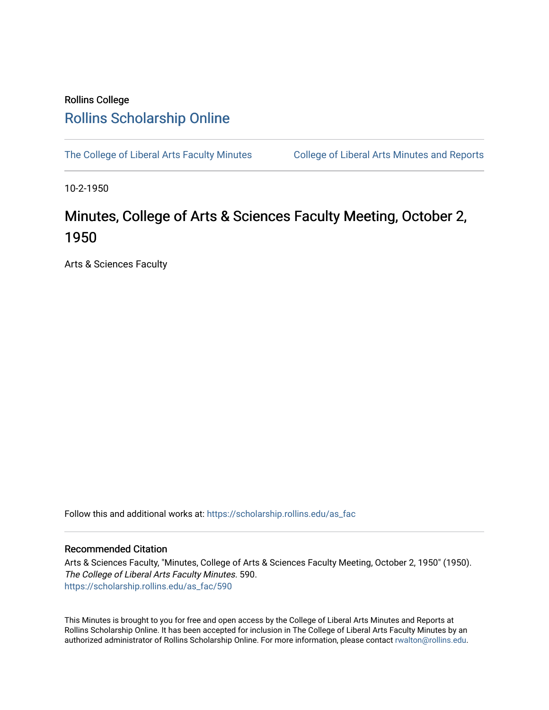## Rollins College [Rollins Scholarship Online](https://scholarship.rollins.edu/)

[The College of Liberal Arts Faculty Minutes](https://scholarship.rollins.edu/as_fac) College of Liberal Arts Minutes and Reports

10-2-1950

## Minutes, College of Arts & Sciences Faculty Meeting, October 2, 1950

Arts & Sciences Faculty

Follow this and additional works at: [https://scholarship.rollins.edu/as\\_fac](https://scholarship.rollins.edu/as_fac?utm_source=scholarship.rollins.edu%2Fas_fac%2F590&utm_medium=PDF&utm_campaign=PDFCoverPages) 

## Recommended Citation

Arts & Sciences Faculty, "Minutes, College of Arts & Sciences Faculty Meeting, October 2, 1950" (1950). The College of Liberal Arts Faculty Minutes. 590. [https://scholarship.rollins.edu/as\\_fac/590](https://scholarship.rollins.edu/as_fac/590?utm_source=scholarship.rollins.edu%2Fas_fac%2F590&utm_medium=PDF&utm_campaign=PDFCoverPages) 

This Minutes is brought to you for free and open access by the College of Liberal Arts Minutes and Reports at Rollins Scholarship Online. It has been accepted for inclusion in The College of Liberal Arts Faculty Minutes by an authorized administrator of Rollins Scholarship Online. For more information, please contact [rwalton@rollins.edu](mailto:rwalton@rollins.edu).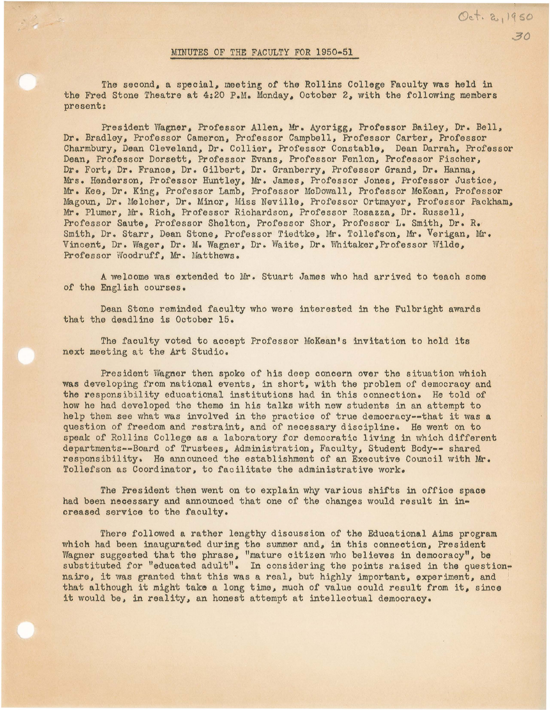## MINUTES OF THE FACULTY FOR 1950•51

The second, a special, meeting of the Rollins College Faculty was held in the Fred Stone Theatre at 4:20 P.M. Monday, October 2, with the following members present:

President Wagner, Professor Allen, Mr. Aycrigg, Professor Bailey, Dr. Bell, Dr. Bradley, Professor Cameron, Professor Campbell, Professor Carter, Professor Charmbury, Dean Cleveland, Dr. Collier, Professor Constable, Dean Darrah, Professor Dean, Professor Dorsett, Professor Evans, Professor Fenlon, Professor Fischer, Dr. Fort, Dr. France, Dr. Gilbert, Dr. Granberry, Professor Grand, Dr. Hanna, Mrs. Henderson, Professor Huntley, Mr. James, Professor Jones, Professor Justice, Mr. Kee, Dr. King, Professor Lamb, Professor McDowall, Professor McKean, Professor Magoun, Dr. Melcher, Dr. Minor, Miss Neville, Professor Ortmayer, Professor Packham., Mr. Plumer, Mr. Rich, Professor Richardson, Professor Rosazza, Dr. Russell, Professor **Saute,** Professor Shelton, Professor Shor, Professor L. Smith, Dr. R. Smith, Dr. Starr, Dean Stone, Professor Tiedtke, Mr. Tollefson, Mr. Verigan, Mr. Vincent, Dr. Wager, Dr. M. Wagner, Dr. Waite, Dr. Whitaker,Professor Wilde, Professor Woodruff, Mr. Matthews.

A welcome was extended to Mr. Stuart James who had arrived to teach some of the English courses.

Dean Stone reminded faculty who were interested in the Fulbright awards that the deadline is October 15.

The faculty voted to accept Professor MoKean's invitation to hold its next meeting at the Art Studio.

President Wagner then spoke of his deep concern over the situation which **was** developing from national events, in short, with the problem of democracy and the responsibility educational institutions had in this connection. He told of how he had developed the theme in his talks with new students in an attempt to help them see what was involved in the practice of true demoeracy--that it **was a**  question of freedom and restraint, and of necessary discipline. He went on to speak of Rollins College as a laboratory for democratic living in which different departments--Board of Trustees, Administration, Faculty, Student Body-- shared responsibility, Ha announced the establishment of an Executive Council with Mr. Tollefson as Coordinator, to facilitate the administrative work.

The President then went on to explain why various shifts in office space had been necessary and announced that one of the changes would result in increased service to the faculty.

There followed a rather lengthy discussion of the Educational Aims program which had been inaugurated during the summer and, in this connection, President Wagner suggested that the phrase, "mature citizen who believes in democracy", be substituted for "educated adult". In considering the points raised in the questionnaire, it was granted that this was a real, but highly important, experiment, and that although it might take a long time, much of value could result from it, since it would be, in reality, an honest attempt at intellectual democracy.

Oct. 2, 1950 30